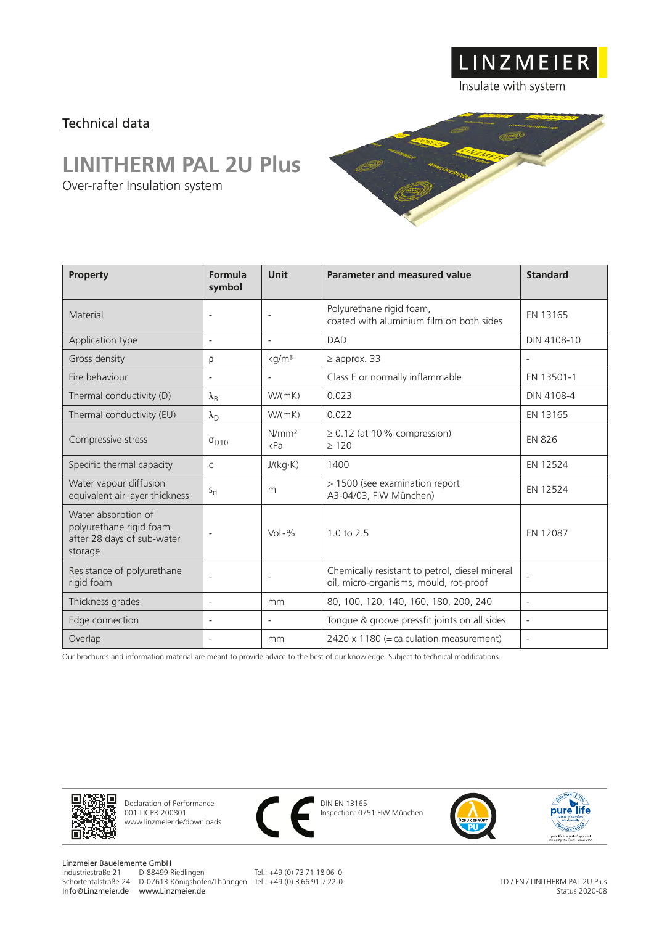Technical data

## **LINITHERM PAL 2U Plus**

Over-rafter Insulation system

| <b>Property</b>                                                                         | Formula<br>symbol        | <b>Unit</b>              | Parameter and measured value                                                             | <b>Standard</b>          |
|-----------------------------------------------------------------------------------------|--------------------------|--------------------------|------------------------------------------------------------------------------------------|--------------------------|
| Material                                                                                | $\overline{\phantom{a}}$ | $\overline{\phantom{0}}$ | Polyurethane rigid foam,<br>coated with aluminium film on both sides                     | EN 13165                 |
| Application type                                                                        | $\overline{\phantom{a}}$ | $\overline{a}$           | <b>DAD</b>                                                                               | DIN 4108-10              |
| Gross density                                                                           | ρ                        | kg/m <sup>3</sup>        | $\geq$ approx. 33                                                                        |                          |
| Fire behaviour                                                                          | $\overline{\phantom{a}}$ | $\overline{a}$           | Class E or normally inflammable                                                          | EN 13501-1               |
| Thermal conductivity (D)                                                                | $\lambda_{\rm B}$        | W/(mK)                   | 0.023                                                                                    | DIN 4108-4               |
| Thermal conductivity (EU)                                                               | $\lambda_{\rm D}$        | W/(mK)                   | 0.022                                                                                    | EN 13165                 |
| Compressive stress                                                                      | $\sigma_{D10}$           | N/mm <sup>2</sup><br>kPa | $\geq$ 0.12 (at 10% compression)<br>>120                                                 | <b>EN 826</b>            |
| Specific thermal capacity                                                               | $\mathsf{C}$             | J/(kg·K)                 | 1400                                                                                     | EN 12524                 |
| Water vapour diffusion<br>equivalent air layer thickness                                | $S_{\rm d}$              | m                        | > 1500 (see examination report<br>A3-04/03, FIW München)                                 | EN 12524                 |
| Water absorption of<br>polyurethane rigid foam<br>after 28 days of sub-water<br>storage | $\overline{\phantom{a}}$ | $Vol - \%$               | $1.0 \text{ to } 2.5$                                                                    | EN 12087                 |
| Resistance of polyurethane<br>rigid foam                                                | $\overline{\phantom{a}}$ | $\overline{a}$           | Chemically resistant to petrol, diesel mineral<br>oil, micro-organisms, mould, rot-proof | $\overline{\phantom{a}}$ |
| Thickness grades                                                                        | $\overline{\phantom{a}}$ | mm                       | 80, 100, 120, 140, 160, 180, 200, 240                                                    | $\overline{\phantom{a}}$ |
| Edge connection                                                                         | $\overline{\phantom{a}}$ | $\overline{a}$           | Tongue & groove pressfit joints on all sides                                             | $\overline{\phantom{a}}$ |
| Overlap                                                                                 | $\overline{\phantom{a}}$ | mm                       | 2420 x 1180 (= calculation measurement)                                                  | $\overline{\phantom{a}}$ |

Our brochures and information material are meant to provide advice to the best of our knowledge. Subject to technical modifications.



Declaration of Performance 001-LICPR-200801 www.linzmeier.de/downloads



DIN EN 13165 Inspection: 0751 FIW München



LINZMEIER

Insulate with system



Linzmeier Bauelemente GmbH<br>Industriestraße 21 D-88499 Riedlingen Schortentalstraße 24 D-07613 Königshofen/Thüringen Tel.: +49 (0) 3 66 91 7 22-0 Info@Linzmeier.de www.Linzmeier.de

Tel.: +49 (0) 73 71 18 06-0

TD / EN / LINITHERM PAL 2U Plus Status 2020-08